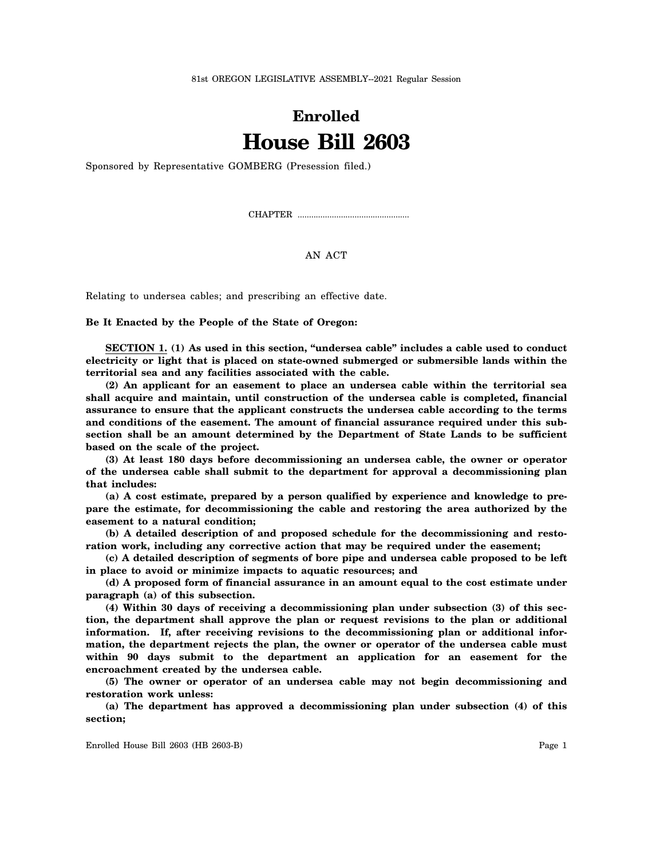81st OREGON LEGISLATIVE ASSEMBLY--2021 Regular Session

## **Enrolled House Bill 2603**

Sponsored by Representative GOMBERG (Presession filed.)

CHAPTER .................................................

## AN ACT

Relating to undersea cables; and prescribing an effective date.

**Be It Enacted by the People of the State of Oregon:**

**SECTION 1. (1) As used in this section, "undersea cable" includes a cable used to conduct electricity or light that is placed on state-owned submerged or submersible lands within the territorial sea and any facilities associated with the cable.**

**(2) An applicant for an easement to place an undersea cable within the territorial sea shall acquire and maintain, until construction of the undersea cable is completed, financial assurance to ensure that the applicant constructs the undersea cable according to the terms and conditions of the easement. The amount of financial assurance required under this subsection shall be an amount determined by the Department of State Lands to be sufficient based on the scale of the project.**

**(3) At least 180 days before decommissioning an undersea cable, the owner or operator of the undersea cable shall submit to the department for approval a decommissioning plan that includes:**

**(a) A cost estimate, prepared by a person qualified by experience and knowledge to prepare the estimate, for decommissioning the cable and restoring the area authorized by the easement to a natural condition;**

**(b) A detailed description of and proposed schedule for the decommissioning and restoration work, including any corrective action that may be required under the easement;**

**(c) A detailed description of segments of bore pipe and undersea cable proposed to be left in place to avoid or minimize impacts to aquatic resources; and**

**(d) A proposed form of financial assurance in an amount equal to the cost estimate under paragraph (a) of this subsection.**

**(4) Within 30 days of receiving a decommissioning plan under subsection (3) of this section, the department shall approve the plan or request revisions to the plan or additional information. If, after receiving revisions to the decommissioning plan or additional information, the department rejects the plan, the owner or operator of the undersea cable must within 90 days submit to the department an application for an easement for the encroachment created by the undersea cable.**

**(5) The owner or operator of an undersea cable may not begin decommissioning and restoration work unless:**

**(a) The department has approved a decommissioning plan under subsection (4) of this section;**

Enrolled House Bill 2603 (HB 2603-B) Page 1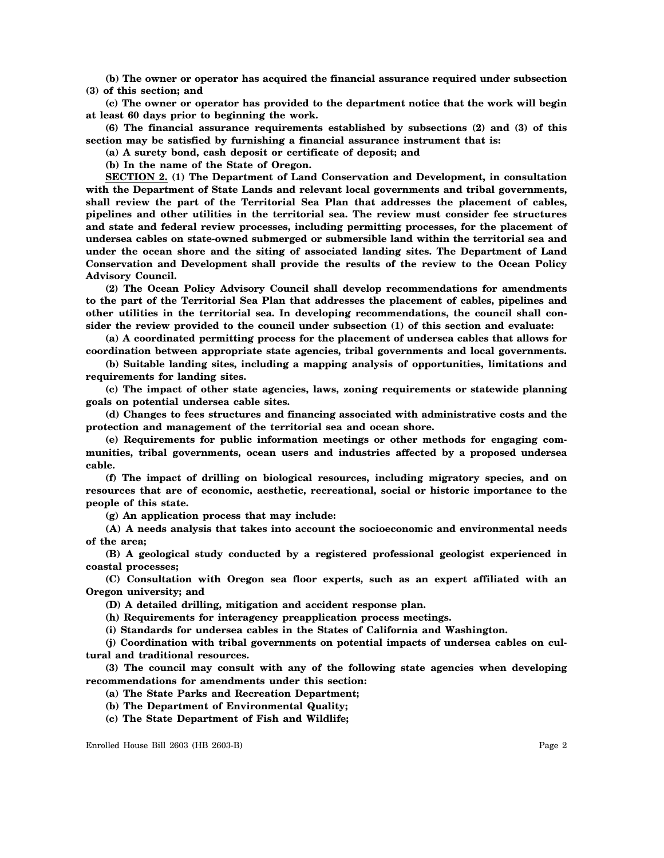**(b) The owner or operator has acquired the financial assurance required under subsection (3) of this section; and**

**(c) The owner or operator has provided to the department notice that the work will begin at least 60 days prior to beginning the work.**

**(6) The financial assurance requirements established by subsections (2) and (3) of this section may be satisfied by furnishing a financial assurance instrument that is:**

**(a) A surety bond, cash deposit or certificate of deposit; and**

**(b) In the name of the State of Oregon.**

**SECTION 2. (1) The Department of Land Conservation and Development, in consultation with the Department of State Lands and relevant local governments and tribal governments, shall review the part of the Territorial Sea Plan that addresses the placement of cables, pipelines and other utilities in the territorial sea. The review must consider fee structures and state and federal review processes, including permitting processes, for the placement of undersea cables on state-owned submerged or submersible land within the territorial sea and under the ocean shore and the siting of associated landing sites. The Department of Land Conservation and Development shall provide the results of the review to the Ocean Policy Advisory Council.**

**(2) The Ocean Policy Advisory Council shall develop recommendations for amendments to the part of the Territorial Sea Plan that addresses the placement of cables, pipelines and other utilities in the territorial sea. In developing recommendations, the council shall consider the review provided to the council under subsection (1) of this section and evaluate:**

**(a) A coordinated permitting process for the placement of undersea cables that allows for coordination between appropriate state agencies, tribal governments and local governments.**

**(b) Suitable landing sites, including a mapping analysis of opportunities, limitations and requirements for landing sites.**

**(c) The impact of other state agencies, laws, zoning requirements or statewide planning goals on potential undersea cable sites.**

**(d) Changes to fees structures and financing associated with administrative costs and the protection and management of the territorial sea and ocean shore.**

**(e) Requirements for public information meetings or other methods for engaging communities, tribal governments, ocean users and industries affected by a proposed undersea cable.**

**(f) The impact of drilling on biological resources, including migratory species, and on resources that are of economic, aesthetic, recreational, social or historic importance to the people of this state.**

**(g) An application process that may include:**

**(A) A needs analysis that takes into account the socioeconomic and environmental needs of the area;**

**(B) A geological study conducted by a registered professional geologist experienced in coastal processes;**

**(C) Consultation with Oregon sea floor experts, such as an expert affiliated with an Oregon university; and**

**(D) A detailed drilling, mitigation and accident response plan.**

**(h) Requirements for interagency preapplication process meetings.**

**(i) Standards for undersea cables in the States of California and Washington.**

**(j) Coordination with tribal governments on potential impacts of undersea cables on cultural and traditional resources.**

**(3) The council may consult with any of the following state agencies when developing recommendations for amendments under this section:**

**(a) The State Parks and Recreation Department;**

**(b) The Department of Environmental Quality;**

**(c) The State Department of Fish and Wildlife;**

Enrolled House Bill 2603 (HB 2603-B) Page 2